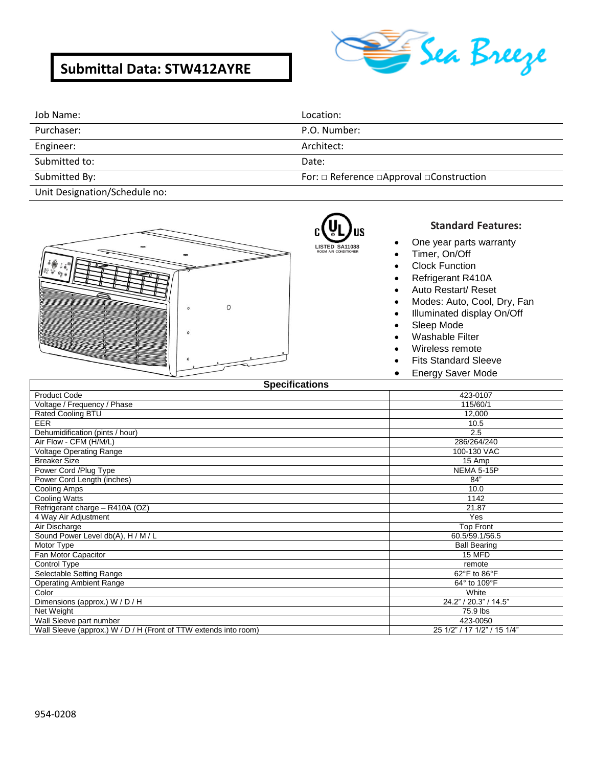# **Submittal Data: STW412AYRE**



| Job Name:                                                                                                       | Location:                                                 |
|-----------------------------------------------------------------------------------------------------------------|-----------------------------------------------------------|
| Purchaser:                                                                                                      | P.O. Number:                                              |
| Engineer:                                                                                                       | Architect:                                                |
| Submitted to:                                                                                                   | Date:                                                     |
| Submitted By:                                                                                                   | For: $\Box$ Reference $\Box$ Approval $\Box$ Construction |
| the contract of the contract of the contract of the contract of the contract of the contract of the contract of |                                                           |

R) **LISTED SA11088 ROOM AIR CONDITIONER**

Unit Designation/Schedule no:



### **Standard Features:**

- One year parts warranty
- Timer, On/Off
- Clock Function
- Refrigerant R410A
- Auto Restart/ Reset
- Modes: Auto, Cool, Dry, Fan
- Illuminated display On/Off
- Sleep Mode
- Washable Filter
- Wireless remote
- Fits Standard Sleeve
- **Energy Saver Mode**

| <b>Specifications</b>                                            |                             |
|------------------------------------------------------------------|-----------------------------|
| <b>Product Code</b>                                              | 423-0107                    |
| Voltage / Frequency / Phase                                      | 115/60/1                    |
| Rated Cooling BTU                                                | 12,000                      |
| <b>EER</b>                                                       | 10.5                        |
| Dehumidification (pints / hour)                                  | 2.5                         |
| Air Flow - CFM (H/M/L)                                           | 286/264/240                 |
| <b>Voltage Operating Range</b>                                   | 100-130 VAC                 |
| <b>Breaker Size</b>                                              | 15 Amp                      |
| Power Cord /Plug Type                                            | NEMA 5-15P                  |
| Power Cord Length (inches)                                       | 84"                         |
| Cooling Amps                                                     | 10.0                        |
| Cooling Watts                                                    | 1142                        |
| Refrigerant charge - R410A (OZ)                                  | 21.87                       |
| 4 Way Air Adjustment                                             | Yes                         |
| Air Discharge                                                    | <b>Top Front</b>            |
| Sound Power Level db(A), H / M / L                               | 60.5/59.1/56.5              |
| Motor Type                                                       | <b>Ball Bearing</b>         |
| Fan Motor Capacitor                                              | 15 MFD                      |
| Control Type                                                     | remote                      |
| Selectable Setting Range                                         | 62°F to 86°F                |
| <b>Operating Ambient Range</b>                                   | 64° to 109°F                |
| Color                                                            | White                       |
| Dimensions (approx.) W / D / H                                   | 24.2" / 20.3" / 14.5"       |
| Net Weight                                                       | 75.9 lbs                    |
| Wall Sleeve part number                                          | 423-0050                    |
| Wall Sleeve (approx.) W / D / H (Front of TTW extends into room) | 25 1/2" / 17 1/2" / 15 1/4" |